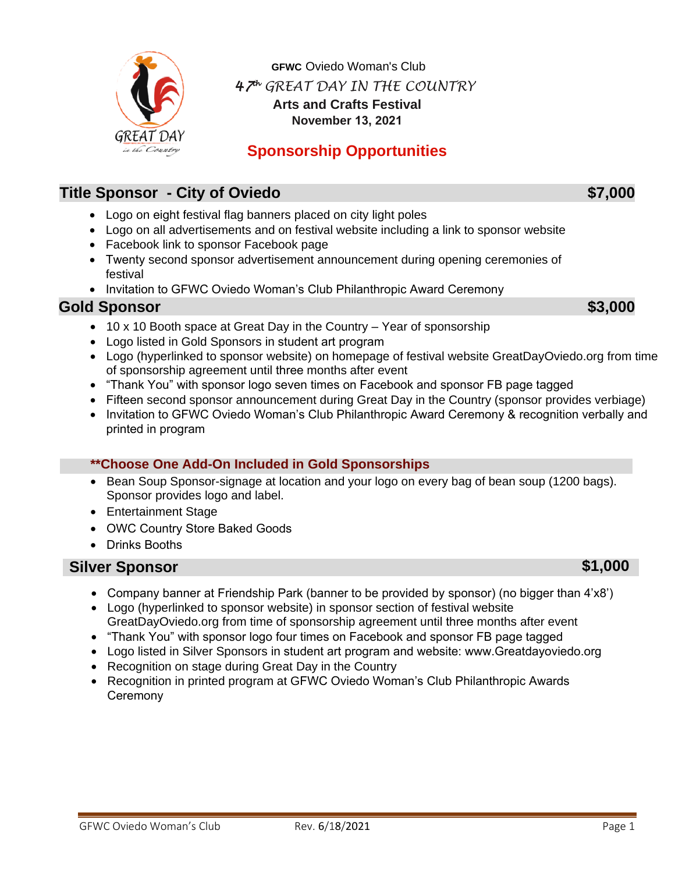

**GFWC** Oviedo Woman's Club *47 th GREAT DAY IN THE COUNTRY* **Arts and Crafts Festival November 13, 2021**

# **Sponsorship Opportunities**

## **Title Sponsor - City of Oviedo <b>1989 1989 1989 1989 1989 1989 1989 1989 1989**

- Logo on eight festival flag banners placed on city light poles
- Logo on all advertisements and on festival website including a link to sponsor website
- Facebook link to sponsor Facebook page
- Twenty second sponsor advertisement announcement during opening ceremonies of festival
- Invitation to GFWC Oviedo Woman's Club Philanthropic Award Ceremony

#### **Gold Sponsor \$3,000**

- 10 x 10 Booth space at Great Day in the Country Year of sponsorship
- Logo listed in Gold Sponsors in student art program
- Logo (hyperlinked to sponsor website) on homepage of festival website GreatDayOviedo.org from time of sponsorship agreement until three months after event
- "Thank You" with sponsor logo seven times on Facebook and sponsor FB page tagged
- Fifteen second sponsor announcement during Great Day in the Country (sponsor provides verbiage)
- Invitation to GFWC Oviedo Woman's Club Philanthropic Award Ceremony & recognition verbally and printed in program

#### **\*\*Choose One Add-On Included in Gold Sponsorships**

- Bean Soup Sponsor-signage at location and your logo on every bag of bean soup (1200 bags). Sponsor provides logo and label.
- Entertainment Stage
- OWC Country Store Baked Goods
- Drinks Booths

#### **Silver Sponsor \$1,000**

- Company banner at Friendship Park (banner to be provided by sponsor) (no bigger than 4'x8')
- Logo (hyperlinked to sponsor website) in sponsor section of festival website GreatDayOviedo.org from time of sponsorship agreement until three months after event
- "Thank You" with sponsor logo four times on Facebook and sponsor FB page tagged
- Logo listed in Silver Sponsors in student art program and website: www.Greatdayoviedo.org
- Recognition on stage during Great Day in the Country
- Recognition in printed program at GFWC Oviedo Woman's Club Philanthropic Awards **Ceremony**